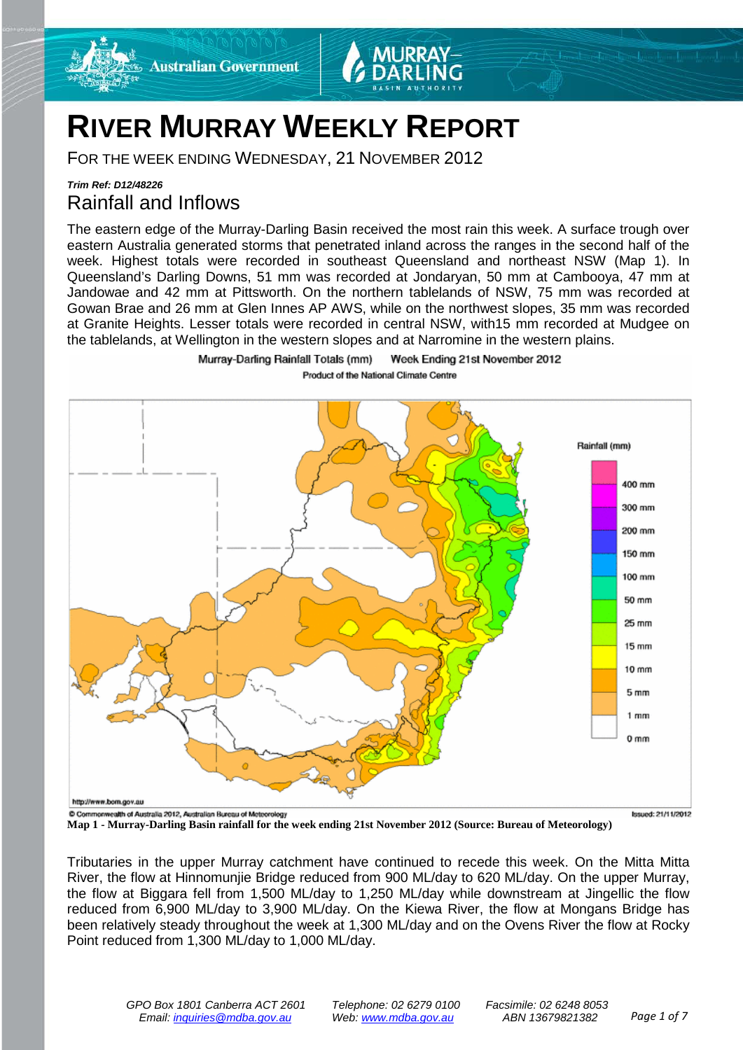

# **RIVER MURRAY WEEKLY REPORT**

FOR THE WEEK ENDING WEDNESDAY, 21 NOVEMBER 2012

Murray-Darling Rainfall Totals (mm)

### *Trim Ref: D12/48226* Rainfall and Inflows

The eastern edge of the Murray-Darling Basin received the most rain this week. A surface trough over eastern Australia generated storms that penetrated inland across the ranges in the second half of the week. Highest totals were recorded in southeast Queensland and northeast NSW (Map 1). In Queensland's Darling Downs, 51 mm was recorded at Jondaryan, 50 mm at Cambooya, 47 mm at Jandowae and 42 mm at Pittsworth. On the northern tablelands of NSW, 75 mm was recorded at Gowan Brae and 26 mm at Glen Innes AP AWS, while on the northwest slopes, 35 mm was recorded at Granite Heights. Lesser totals were recorded in central NSW, with15 mm recorded at Mudgee on the tablelands, at Wellington in the western slopes and at Narromine in the western plains.

Product of the National Climate Centre

Week Ending 21st November 2012



**Map 1 - Murray-Darling Basin rainfall for the week ending 21st November 2012 (Source: Bureau of Meteorology)**

Tributaries in the upper Murray catchment have continued to recede this week. On the Mitta Mitta River, the flow at Hinnomunjie Bridge reduced from 900 ML/day to 620 ML/day. On the upper Murray, the flow at Biggara fell from 1,500 ML/day to 1,250 ML/day while downstream at Jingellic the flow reduced from 6,900 ML/day to 3,900 ML/day. On the Kiewa River, the flow at Mongans Bridge has been relatively steady throughout the week at 1,300 ML/day and on the Ovens River the flow at Rocky Point reduced from 1,300 ML/day to 1,000 ML/day.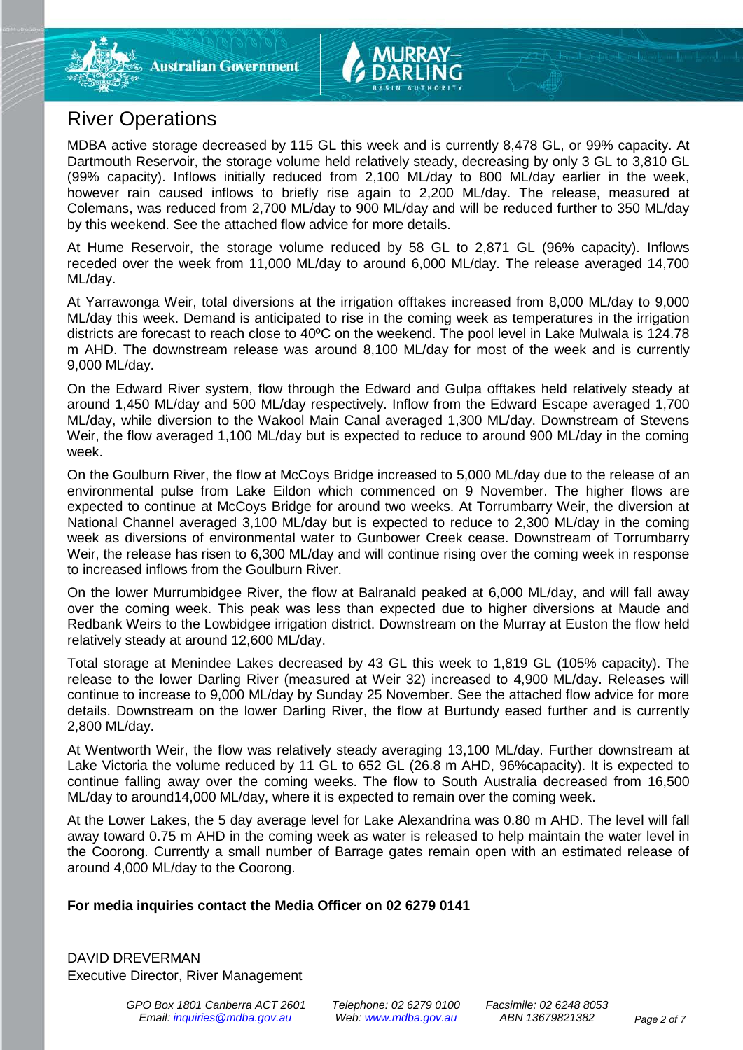

MDBA active storage decreased by 115 GL this week and is currently 8,478 GL, or 99% capacity. At Dartmouth Reservoir, the storage volume held relatively steady, decreasing by only 3 GL to 3,810 GL (99% capacity). Inflows initially reduced from 2,100 ML/day to 800 ML/day earlier in the week, however rain caused inflows to briefly rise again to 2,200 ML/day. The release, measured at Colemans, was reduced from 2,700 ML/day to 900 ML/day and will be reduced further to 350 ML/day by this weekend. See the attached flow advice for more details.

At Hume Reservoir, the storage volume reduced by 58 GL to 2,871 GL (96% capacity). Inflows receded over the week from 11,000 ML/day to around 6,000 ML/day. The release averaged 14,700 ML/day.

At Yarrawonga Weir, total diversions at the irrigation offtakes increased from 8,000 ML/day to 9,000 ML/day this week. Demand is anticipated to rise in the coming week as temperatures in the irrigation districts are forecast to reach close to 40ºC on the weekend. The pool level in Lake Mulwala is 124.78 m AHD. The downstream release was around 8,100 ML/day for most of the week and is currently 9,000 ML/day.

On the Edward River system, flow through the Edward and Gulpa offtakes held relatively steady at around 1,450 ML/day and 500 ML/day respectively. Inflow from the Edward Escape averaged 1,700 ML/day, while diversion to the Wakool Main Canal averaged 1,300 ML/day. Downstream of Stevens Weir, the flow averaged 1,100 ML/day but is expected to reduce to around 900 ML/day in the coming week.

On the Goulburn River, the flow at McCoys Bridge increased to 5,000 ML/day due to the release of an environmental pulse from Lake Eildon which commenced on 9 November. The higher flows are expected to continue at McCoys Bridge for around two weeks. At Torrumbarry Weir, the diversion at National Channel averaged 3,100 ML/day but is expected to reduce to 2,300 ML/day in the coming week as diversions of environmental water to Gunbower Creek cease. Downstream of Torrumbarry Weir, the release has risen to 6,300 ML/day and will continue rising over the coming week in response to increased inflows from the Goulburn River.

On the lower Murrumbidgee River, the flow at Balranald peaked at 6,000 ML/day, and will fall away over the coming week. This peak was less than expected due to higher diversions at Maude and Redbank Weirs to the Lowbidgee irrigation district. Downstream on the Murray at Euston the flow held relatively steady at around 12,600 ML/day.

Total storage at Menindee Lakes decreased by 43 GL this week to 1,819 GL (105% capacity). The release to the lower Darling River (measured at Weir 32) increased to 4,900 ML/day. Releases will continue to increase to 9,000 ML/day by Sunday 25 November. See the attached flow advice for more details. Downstream on the lower Darling River, the flow at Burtundy eased further and is currently 2,800 ML/day.

At Wentworth Weir, the flow was relatively steady averaging 13,100 ML/day. Further downstream at Lake Victoria the volume reduced by 11 GL to 652 GL (26.8 m AHD, 96%capacity). It is expected to continue falling away over the coming weeks. The flow to South Australia decreased from 16,500 ML/day to around14,000 ML/day, where it is expected to remain over the coming week.

At the Lower Lakes, the 5 day average level for Lake Alexandrina was 0.80 m AHD. The level will fall away toward 0.75 m AHD in the coming week as water is released to help maintain the water level in the Coorong. Currently a small number of Barrage gates remain open with an estimated release of around 4,000 ML/day to the Coorong.

#### **For media inquiries contact the Media Officer on 02 6279 0141**

DAVID DREVERMAN Executive Director, River Management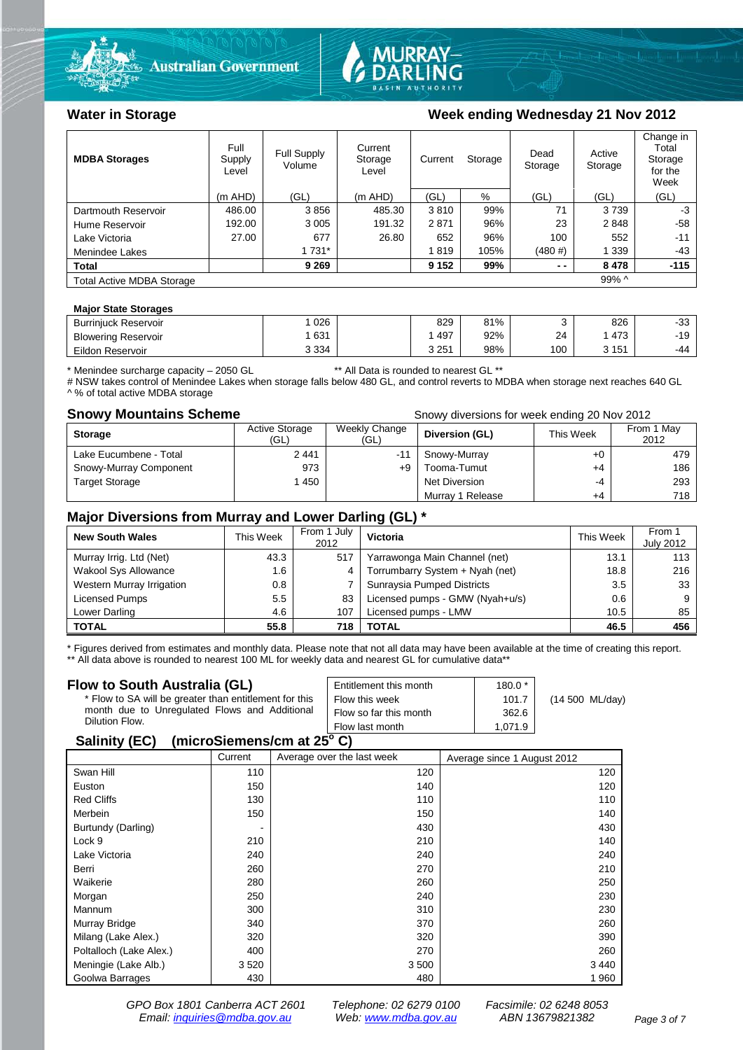



#### Water in Storage Week ending Wednesday 21 Nov 2012

| <b>MDBA Storages</b>             | Full<br>Supply<br>Level | <b>Full Supply</b><br>Volume | Current<br>Storage<br>Level | Current | Storage | Dead<br>Storage | Active<br>Storage | Change in<br>Total<br>Storage<br>for the<br>Week |
|----------------------------------|-------------------------|------------------------------|-----------------------------|---------|---------|-----------------|-------------------|--------------------------------------------------|
|                                  | $(m$ AHD)               | (GL)                         | $(m$ AHD)                   | (GL)    | $\%$    | (GL)            | (GL)              | (GL)                                             |
| Dartmouth Reservoir              | 486.00                  | 3856                         | 485.30                      | 3810    | 99%     | 71              | 3739              | -3                                               |
| Hume Reservoir                   | 192.00                  | 3 0 0 5                      | 191.32                      | 2871    | 96%     | 23              | 2848              | $-58$                                            |
| Lake Victoria                    | 27.00                   | 677                          | 26.80                       | 652     | 96%     | 100             | 552               | $-11$                                            |
| Menindee Lakes                   |                         | 1 731*                       |                             | 1819    | 105%    | (480#)          | 1 3 3 9           | $-43$                                            |
| Total                            |                         | 9 2 6 9                      |                             | 9 1 5 2 | 99%     | $ -$            | 8478              | $-115$                                           |
| <b>Total Active MDBA Storage</b> |                         |                              |                             |         |         |                 | 99% ^             |                                                  |

#### **Major State Storages**

| <b>Burrinjuck Reservoir</b> | 026     | 829   | 81% |     | 826       | $\sim$<br>-აა |
|-----------------------------|---------|-------|-----|-----|-----------|---------------|
| <b>Blowering Reservoir</b>  | 631     | 497   | 92% | 24  | 473       | 10<br>1 J     |
| Eildon Reservoir            | 3 3 3 4 | 3 251 | 98% | 100 | 151<br>ιJ | -44           |

\* Menindee surcharge capacity – 2050 GL \*\* All Data is rounded to nearest GL \*\*

# NSW takes control of Menindee Lakes when storage falls below 480 GL, and control reverts to MDBA when storage next reaches 640 GL A % of total active MDBA storage

**Snowy Mountains Scheme Snowy diversions for week ending 20 Nov 2012** 

| <b>Storage</b>         | <b>Active Storage</b><br>(GL) | Weekly Change<br>(GL) | Diversion (GL)   | This Week | From 1 May<br>2012 |
|------------------------|-------------------------------|-----------------------|------------------|-----------|--------------------|
| Lake Eucumbene - Total | 2441                          | -11                   | Snowy-Murray     | +0        | 479                |
| Snowy-Murray Component | 973                           | +9                    | Tooma-Tumut      | +4        | 186                |
| <b>Target Storage</b>  | 1450                          |                       | Net Diversion    | -4        | 293                |
|                        |                               |                       | Murray 1 Release | $+4$      | 718                |

### **Major Diversions from Murray and Lower Darling (GL) \***

| <b>New South Wales</b>    | This Week | From 1 July<br>2012 | Victoria                        | This Week | From 1<br><b>July 2012</b> |
|---------------------------|-----------|---------------------|---------------------------------|-----------|----------------------------|
| Murray Irrig. Ltd (Net)   | 43.3      | 517                 | Yarrawonga Main Channel (net)   | 13.1      | 113                        |
| Wakool Sys Allowance      | 1.6       | 4                   | Torrumbarry System + Nyah (net) | 18.8      | 216                        |
| Western Murray Irrigation | 0.8       |                     | Sunraysia Pumped Districts      | 3.5       | 33                         |
| Licensed Pumps            | 5.5       | 83                  | Licensed pumps - GMW (Nyah+u/s) | 0.6       |                            |
| Lower Darling             | 4.6       | 107                 | Licensed pumps - LMW            | 10.5      | 85                         |
| <b>TOTAL</b>              | 55.8      | 718                 | TOTAL                           | 46.5      | 456                        |

\* Figures derived from estimates and monthly data. Please note that not all data may have been available at the time of creating this report.

\*\* All data above is rounded to nearest 100 ML for weekly data and nearest GL for cumulative data\*\*

| Flow to South Australia (GL)                              | Entitlement this month | $180.0*$ |                           |
|-----------------------------------------------------------|------------------------|----------|---------------------------|
| * Flow to SA will be greater than entitlement for this    | Flow this week         | 101.7    | $(14 500 \text{ ML/day})$ |
| month due to Unregulated Flows and Additional             | Flow so far this month | 362.6    |                           |
| Dilution Flow.                                            | Flow last month        | 1.071.9  |                           |
| $\mathbf{A}$ , $\mathbf{B}$ , $\mathbf{A}$ , $\mathbf{B}$ |                        |          |                           |

#### **Salinity (EC) (microSiemens/cm at 25o C)**

|                         | Current | Average over the last week | Average since 1 August 2012 |
|-------------------------|---------|----------------------------|-----------------------------|
| Swan Hill               | 110     | 120                        | 120                         |
| Euston                  | 150     | 140                        | 120                         |
| <b>Red Cliffs</b>       | 130     | 110                        | 110                         |
| Merbein                 | 150     | 150                        | 140                         |
| Burtundy (Darling)      | ٠       | 430                        | 430                         |
| Lock 9                  | 210     | 210                        | 140                         |
| Lake Victoria           | 240     | 240                        | 240                         |
| Berri                   | 260     | 270                        | 210                         |
| Waikerie                | 280     | 260                        | 250                         |
| Morgan                  | 250     | 240                        | 230                         |
| Mannum                  | 300     | 310                        | 230                         |
| Murray Bridge           | 340     | 370                        | 260                         |
| Milang (Lake Alex.)     | 320     | 320                        | 390                         |
| Poltalloch (Lake Alex.) | 400     | 270                        | 260                         |
| Meningie (Lake Alb.)    | 3520    | 3500                       | 3 4 4 0                     |
| Goolwa Barrages         | 430     | 480                        | 1960                        |

*GPO Box 1801 Canberra ACT 2601 Telephone: 02 6279 0100 Facsimile: 02 6248 8053 Email: [inquiries@mdba.gov.au](mailto:inquiries@mdba.gov.au) Web: [www.mdba.gov.au](http://www.mdba.gov.au/) ABN 13679821382 Page 3 of 7*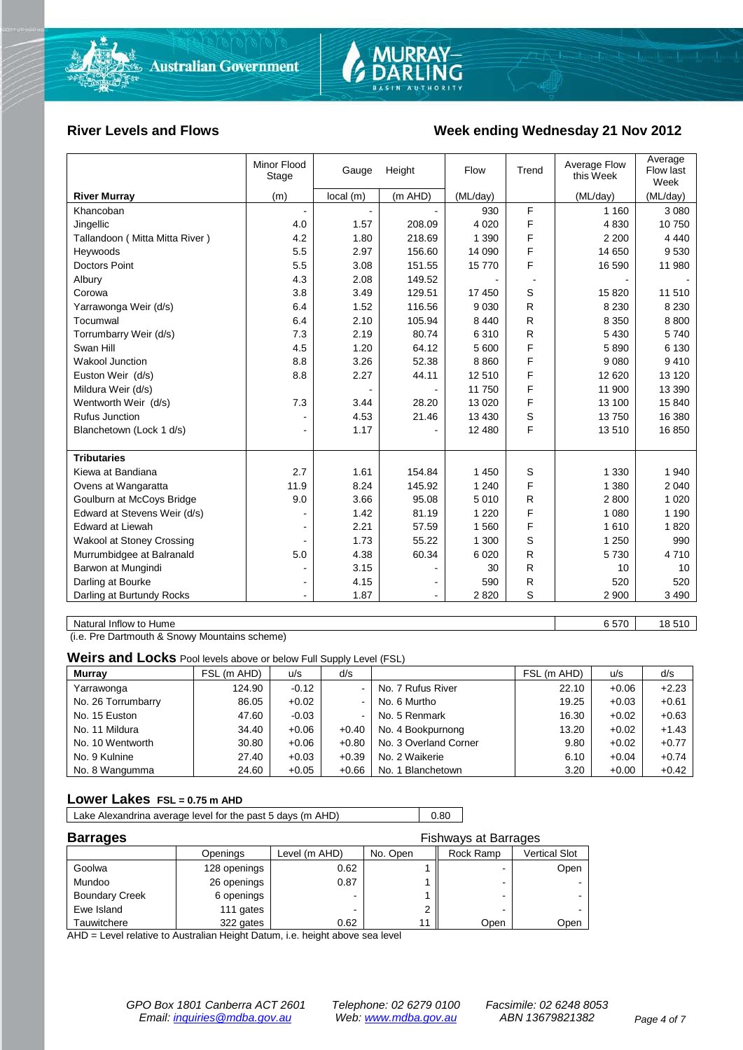

#### River Levels and Flows **Week ending Wednesday 21 Nov 2012**

| <b>River Murray</b><br>(m AHD)<br>local(m)<br>(ML/day)<br>(ML/day)<br>(m)                                     | (ML/day)<br>3 0 8 0<br>10750 |
|---------------------------------------------------------------------------------------------------------------|------------------------------|
|                                                                                                               |                              |
| F<br>930<br>1 1 6 0<br>Khancoban<br>$\blacksquare$                                                            |                              |
| F<br>Jingellic<br>4.0<br>1.57<br>208.09<br>4 0 20<br>4 8 3 0                                                  |                              |
| F<br>4.2<br>1.80<br>218.69<br>1 3 9 0<br>Tallandoon (Mitta Mitta River)<br>2 2 0 0                            | 4 4 4 0                      |
| F<br>5.5<br>2.97<br>156.60<br>14 090<br>14 650<br>Heywoods                                                    | 9530                         |
| F<br><b>Doctors Point</b><br>5.5<br>3.08<br>151.55<br>15770<br>16 590                                         | 11 980                       |
| 4.3<br>2.08<br>149.52<br>Albury                                                                               |                              |
| 129.51<br>S<br>Corowa<br>3.8<br>3.49<br>17 450<br>15 8 20                                                     | 11 510                       |
| 6.4<br>1.52<br>116.56<br>R<br>9 0 3 0<br>8 2 3 0<br>Yarrawonga Weir (d/s)                                     | 8 2 3 0                      |
| R<br>6.4<br>2.10<br>105.94<br>8 4 4 0<br>8 3 5 0<br>Tocumwal                                                  | 8800                         |
| R.<br>Torrumbarry Weir (d/s)<br>7.3<br>2.19<br>80.74<br>6310<br>5 4 3 0                                       | 5740                         |
| F<br>Swan Hill<br>4.5<br>1.20<br>64.12<br>5 600<br>5890                                                       | 6 1 3 0                      |
| F<br><b>Wakool Junction</b><br>8.8<br>3.26<br>52.38<br>8860<br>9 0 8 0                                        | 9410                         |
| F<br>2.27<br>44.11<br>Euston Weir (d/s)<br>8.8<br>12510<br>12 6 20                                            | 13 120                       |
| F<br>11 900<br>Mildura Weir (d/s)<br>11750                                                                    | 13 390                       |
| F<br>7.3<br>Wentworth Weir (d/s)<br>3.44<br>28.20<br>13 0 20<br>13 100                                        | 15 840                       |
| S<br>Rufus Junction<br>4.53<br>21.46<br>13 4 30<br>13750                                                      | 16 380                       |
| F<br>1.17<br>12 480<br>Blanchetown (Lock 1 d/s)<br>13510<br>۰                                                 | 16850                        |
|                                                                                                               |                              |
| <b>Tributaries</b><br>Kiewa at Bandiana<br>2.7<br>1.61<br>154.84<br>1 3 3 0                                   | 1 940                        |
| S<br>1 450                                                                                                    |                              |
| F<br>8.24<br>145.92<br>Ovens at Wangaratta<br>11.9<br>1 2 4 0<br>1 3 8 0                                      | 2 0 4 0                      |
| Goulburn at McCoys Bridge<br>9.0<br>3.66<br>95.08<br>5 0 1 0<br>R<br>2800<br>F<br>81.19<br>1 2 2 0<br>1 0 8 0 | 1 0 2 0<br>1 1 9 0           |
| Edward at Stevens Weir (d/s)<br>1.42<br>F                                                                     |                              |
| <b>Edward at Liewah</b><br>2.21<br>1560<br>57.59<br>1610<br>$\blacksquare$                                    | 1820                         |
| S<br>1.73<br>55.22<br>1 300<br>1 2 5 0<br><b>Wakool at Stoney Crossing</b>                                    | 990                          |
| R<br>Murrumbidgee at Balranald<br>5.0<br>4.38<br>60.34<br>6 0 20<br>5730                                      | 4710                         |
| 3.15<br>R<br>Barwon at Mungindi<br>30<br>10                                                                   | 10                           |
| Darling at Bourke<br>4.15<br>R<br>520<br>590<br>$\blacksquare$<br>$\blacksquare$                              | 520                          |
| S<br>1.87<br>Darling at Burtundy Rocks<br>2820<br>2 9 0 0<br>$\blacksquare$<br>$\blacksquare$                 | 3 4 9 0                      |
| Natural Inflow to Hume<br>6570                                                                                | 18 510                       |

(i.e. Pre Dartmouth & Snowy Mountains scheme)

**Weirs and Locks** Pool levels above or below Full Supply Level (FSL)

| <b>Murray</b>      | FSL (m AHD) | u/s     | d/s     |                       | FSL (m AHD) | u/s     | d/s     |
|--------------------|-------------|---------|---------|-----------------------|-------------|---------|---------|
| Yarrawonga         | 124.90      | $-0.12$ |         | No. 7 Rufus River     | 22.10       | $+0.06$ | $+2.23$ |
| No. 26 Torrumbarry | 86.05       | $+0.02$ |         | No. 6 Murtho          | 19.25       | $+0.03$ | $+0.61$ |
| No. 15 Euston      | 47.60       | $-0.03$ |         | No. 5 Renmark         | 16.30       | $+0.02$ | $+0.63$ |
| No. 11 Mildura     | 34.40       | $+0.06$ | $+0.40$ | No. 4 Bookpurnong     | 13.20       | $+0.02$ | $+1.43$ |
| No. 10 Wentworth   | 30.80       | $+0.06$ | $+0.80$ | No. 3 Overland Corner | 9.80        | $+0.02$ | $+0.77$ |
| No. 9 Kulnine      | 27.40       | $+0.03$ | $+0.39$ | No. 2 Waikerie        | 6.10        | $+0.04$ | $+0.74$ |
| No. 8 Wangumma     | 24.60       | $+0.05$ | $+0.66$ | No. 1 Blanchetown     | 3.20        | $+0.00$ | $+0.42$ |

#### **Lower Lakes FSL = 0.75 m AHD**

Lake Alexandrina average level for the past 5 days (m AHD) 0.80

| <b>Barrages</b>       |              | <b>Fishways at Barrages</b> |          |           |               |
|-----------------------|--------------|-----------------------------|----------|-----------|---------------|
|                       | Openings     | Level (m AHD)               | No. Open | Rock Ramp | Vertical Slot |
| Goolwa                | 128 openings | 0.62                        |          | -         | Open          |
| Mundoo                | 26 openings  | 0.87                        |          | -         |               |
| <b>Boundary Creek</b> | 6 openings   |                             |          |           |               |
| Ewe Island            | 111 gates    |                             |          | -         |               |
| Tauwitchere           | 322 gates    | 0.62                        |          | Open      | Open          |

AHD = Level relative to Australian Height Datum, i.e. height above sea level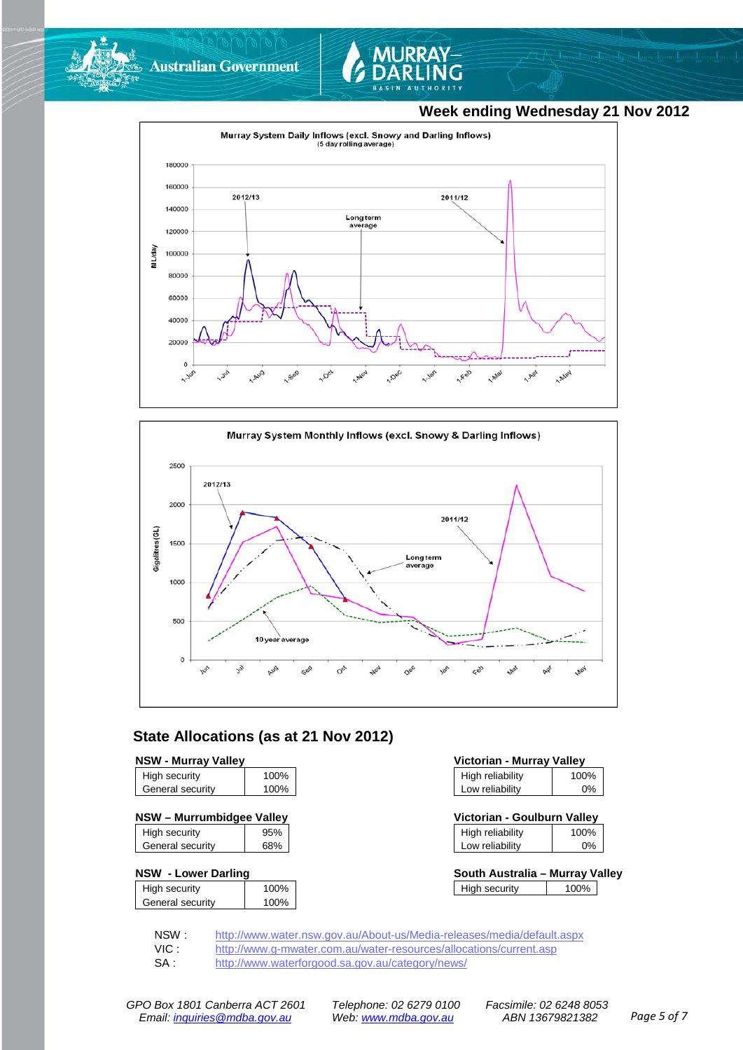



## **Week ending Wednesday 21 Nov 2012**





### **State Allocations (as at 21 Nov 2012)**

| High security    | 100% |
|------------------|------|
| General security | 100% |
|                  |      |

|  |  | NSW - Murrumbidgee Valley |  |
|--|--|---------------------------|--|
|--|--|---------------------------|--|

| High security    | 95% |
|------------------|-----|
| General security | 68% |
|                  |     |

#### **NSW - Lower Darling**

| High security    | 100% |
|------------------|------|
| General security | 100% |
|                  |      |

| <b>NSW - Murray Valley</b> |      | Victorian - Murray Valley |      |
|----------------------------|------|---------------------------|------|
| High security              | 100% | High reliability          | 100% |
| General security           | 100% | Low reliability           | 0%   |

| NSW – Murrumbidgee Valley |     | Victorian - Goulburn Valley |      |
|---------------------------|-----|-----------------------------|------|
| High security             | 95% | High reliability            | 100% |

| Low reliability | 2% |  |
|-----------------|----|--|
|                 |    |  |

| South Australia - Murray Valley |      |  |
|---------------------------------|------|--|
| High security                   | 100% |  |

NSW : <http://www.water.nsw.gov.au/About-us/Media-releases/media/default.aspx><br>VIC : http://www.g-mwater.com.au/water-resources/allocations/current.asp

VIC : <http://www.g-mwater.com.au/water-resources/allocations/current.asp><br>SA : http://www.waterforgood.sa.gov.au/category/news/

<http://www.waterforgood.sa.gov.au/category/news/>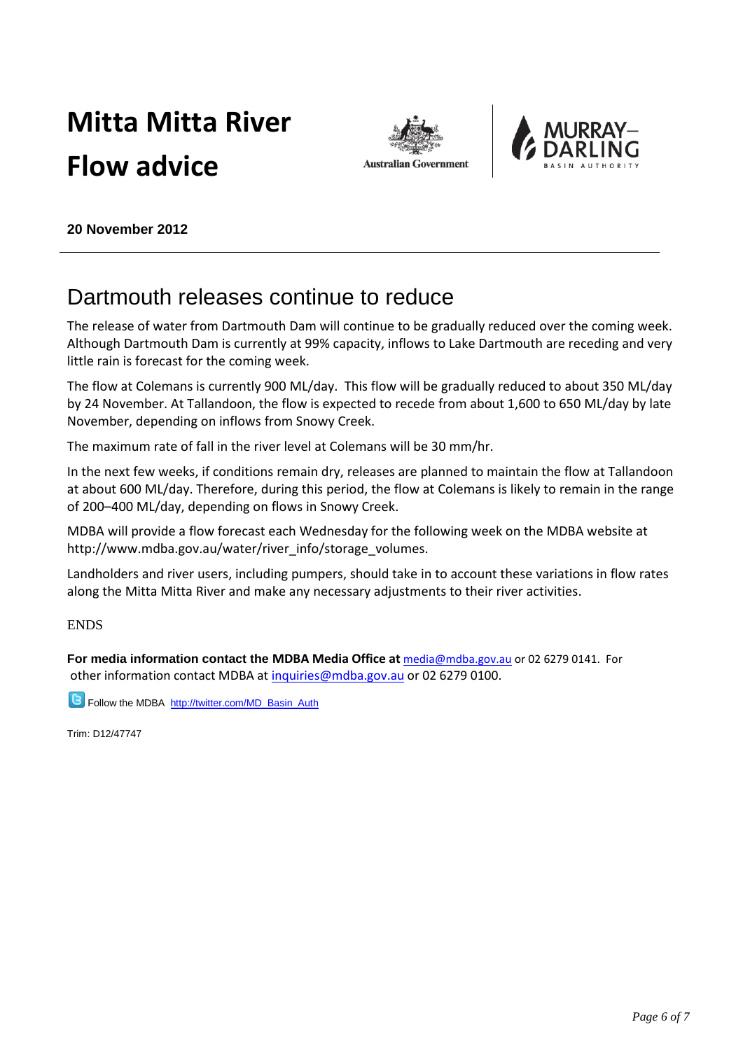# **Mitta Mitta River Flow advice**





**20 November 2012**

## Dartmouth releases continue to reduce

The release of water from Dartmouth Dam will continue to be gradually reduced over the coming week. Although Dartmouth Dam is currently at 99% capacity, inflows to Lake Dartmouth are receding and very little rain is forecast for the coming week.

The flow at Colemans is currently 900 ML/day. This flow will be gradually reduced to about 350 ML/day by 24 November. At Tallandoon, the flow is expected to recede from about 1,600 to 650 ML/day by late November, depending on inflows from Snowy Creek.

The maximum rate of fall in the river level at Colemans will be 30 mm/hr.

In the next few weeks, if conditions remain dry, releases are planned to maintain the flow at Tallandoon at about 600 ML/day. Therefore, during this period, the flow at Colemans is likely to remain in the range of 200–400 ML/day, depending on flows in Snowy Creek.

MDBA will provide a flow forecast each Wednesday for the following week on the MDBA website at http://www.mdba.gov.au/water/river\_info/storage\_volumes.

Landholders and river users, including pumpers, should take in to account these variations in flow rates along the Mitta Mitta River and make any necessary adjustments to their river activities.

ENDS

**For media information contact the MDBA Media Office at** [media@mdba.gov.au](mailto:media@mdba.gov.au) or 02 6279 0141. For other information contact MDBA a[t inquiries@mdba.gov.au](mailto:inquiries@mdba.gov.au) or 02 6279 0100.

**B** Follow the MDBA [http://twitter.com/MD\\_Basin\\_Auth](http://twitter.com/MD_Basin_Auth)

Trim: D12/47747